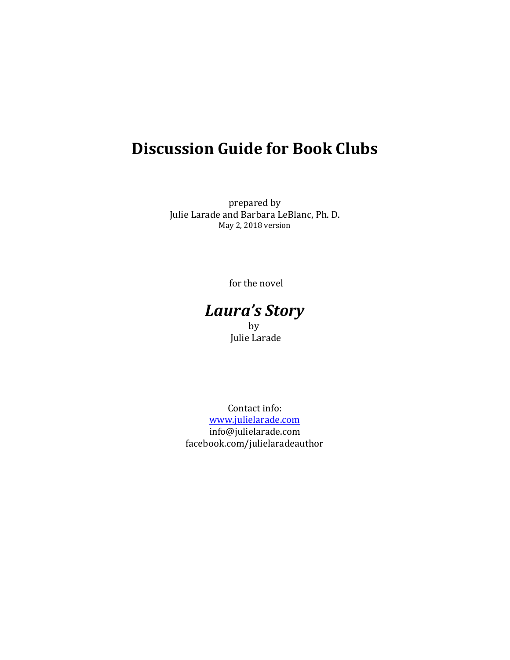# **Discussion Guide for Book Clubs**

prepared by Julie Larade and Barbara LeBlanc, Ph. D. May 2, 2018 version

for the novel

# *Laura's Story* **by** Julie Larade

Contact info: [www.julielarade.com](http://www.julielarade.com/) info@julielarade.com facebook.com/julielaradeauthor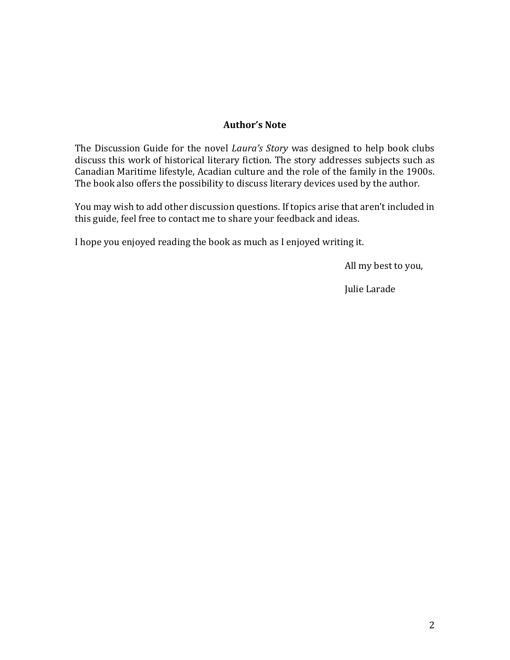#### **Author's Note**

The Discussion Guide for the novel *Laura's Story* was designed to help book clubs discuss this work of historical literary fiction. The story addresses subjects such as Canadian Maritime lifestyle, Acadian culture and the role of the family in the 1900s. The book also offers the possibility to discuss literary devices used by the author.

You may wish to add other discussion questions. If topics arise that aren't included in this guide, feel free to contact me to share your feedback and ideas.

I hope you enjoyed reading the book as much as I enjoyed writing it.

All my best to you,

Julie Larade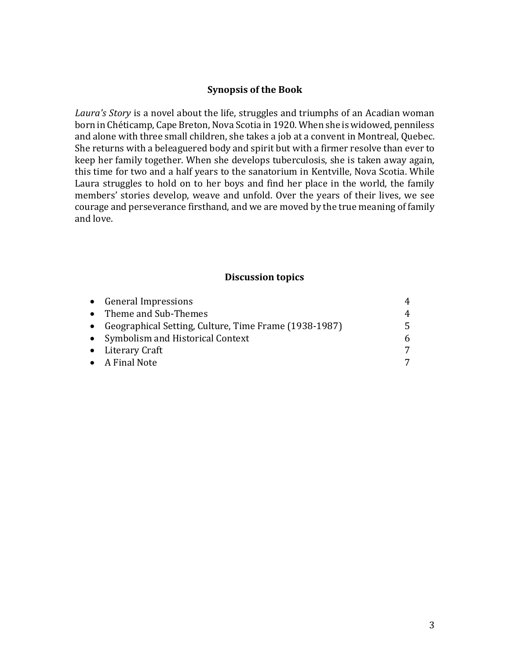#### **Synopsis of the Book**

*Laura's Story* is a novel about the life, struggles and triumphs of an Acadian woman born in Chéticamp, Cape Breton, Nova Scotia in 1920. When she is widowed, penniless and alone with three small children, she takes a job at a convent in Montreal, Quebec. She returns with a beleaguered body and spirit but with a firmer resolve than ever to keep her family together. When she develops tuberculosis, she is taken away again, this time for two and a half years to the sanatorium in Kentville, Nova Scotia. While Laura struggles to hold on to her boys and find her place in the world, the family members' stories develop, weave and unfold. Over the years of their lives, we see courage and perseverance firsthand, and we are moved by the true meaning of family and love.

#### **Discussion topics**

| • General Impressions                                   | 4  |
|---------------------------------------------------------|----|
| • Theme and Sub-Themes                                  | 4  |
| • Geographical Setting, Culture, Time Frame (1938-1987) | 5. |
| • Symbolism and Historical Context                      | 6  |
| • Literary Craft                                        |    |
| • A Final Note                                          |    |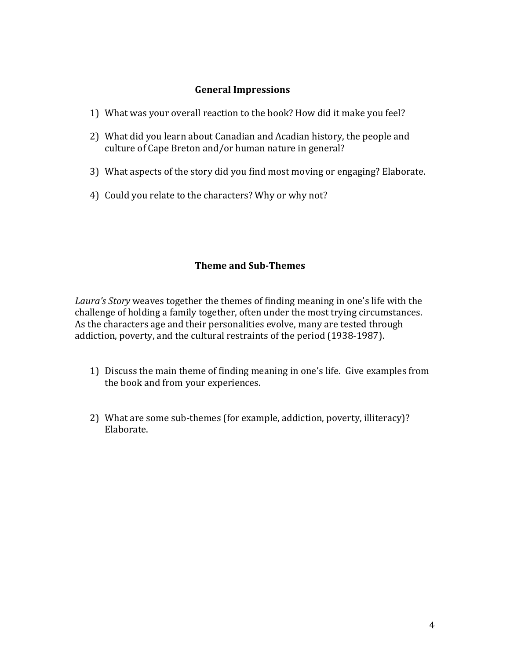#### **General Impressions**

- 1) What was your overall reaction to the book? How did it make you feel?
- 2) What did you learn about Canadian and Acadian history, the people and culture of Cape Breton and/or human nature in general?
- 3) What aspects of the story did you find most moving or engaging? Elaborate.
- 4) Could you relate to the characters? Why or why not?

#### **Theme and Sub-Themes**

*Laura's Story* weaves together the themes of finding meaning in one's life with the challenge of holding a family together, often under the most trying circumstances. As the characters age and their personalities evolve, many are tested through addiction, poverty, and the cultural restraints of the period (1938-1987).

- 1) Discuss the main theme of finding meaning in one's life. Give examples from the book and from your experiences.
- 2) What are some sub-themes (for example, addiction, poverty, illiteracy)? Elaborate.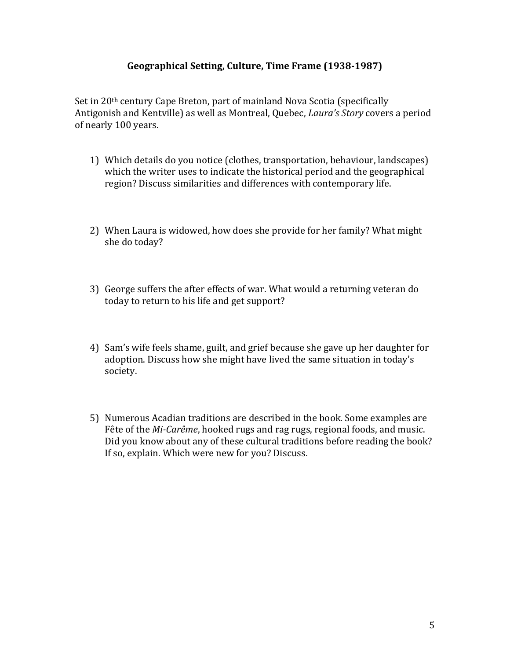#### **Geographical Setting, Culture, Time Frame (1938-1987)**

Set in 20<sup>th</sup> century Cape Breton, part of mainland Nova Scotia (specifically Antigonish and Kentville) as well as Montreal, Quebec, *Laura's Story* covers a period of nearly 100 years.

- 1) Which details do you notice (clothes, transportation, behaviour, landscapes) which the writer uses to indicate the historical period and the geographical region? Discuss similarities and differences with contemporary life.
- 2) When Laura is widowed, how does she provide for her family? What might she do today?
- 3) George suffers the after effects of war. What would a returning veteran do today to return to his life and get support?
- 4) Sam's wife feels shame, guilt, and grief because she gave up her daughter for adoption. Discuss how she might have lived the same situation in today's society.
- 5) Numerous Acadian traditions are described in the book. Some examples are Fête of the *Mi-Carême*, hooked rugs and rag rugs, regional foods, and music. Did you know about any of these cultural traditions before reading the book? If so, explain. Which were new for you? Discuss.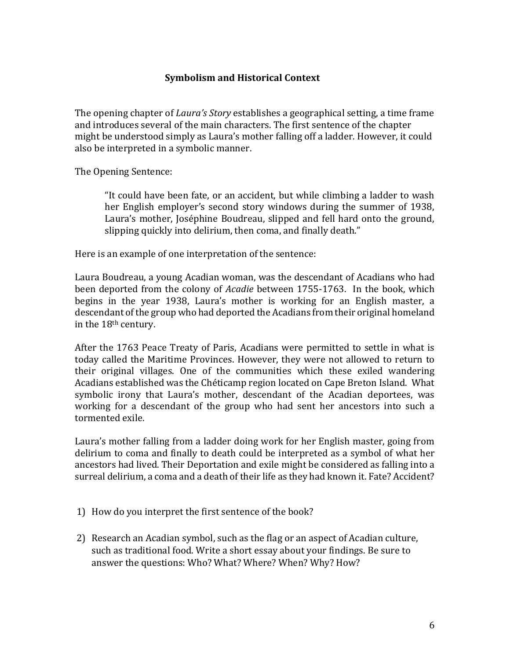#### **Symbolism and Historical Context**

The opening chapter of *Laura's Story* establishes a geographical setting, a time frame and introduces several of the main characters. The first sentence of the chapter might be understood simply as Laura's mother falling off a ladder. However, it could also be interpreted in a symbolic manner.

The Opening Sentence:

"It could have been fate, or an accident, but while climbing a ladder to wash her English employer's second story windows during the summer of 1938, Laura's mother, Joséphine Boudreau, slipped and fell hard onto the ground, slipping quickly into delirium, then coma, and finally death."

Here is an example of one interpretation of the sentence:

Laura Boudreau, a young Acadian woman, was the descendant of Acadians who had been deported from the colony of *Acadie* between 1755-1763. In the book, which begins in the year 1938, Laura's mother is working for an English master, a descendant of the group who had deported the Acadians from their original homeland in the 18th century.

After the 1763 Peace Treaty of Paris, Acadians were permitted to settle in what is today called the Maritime Provinces. However, they were not allowed to return to their original villages. One of the communities which these exiled wandering Acadians established was the Chéticamp region located on Cape Breton Island. What symbolic irony that Laura's mother, descendant of the Acadian deportees, was working for a descendant of the group who had sent her ancestors into such a tormented exile.

Laura's mother falling from a ladder doing work for her English master, going from delirium to coma and finally to death could be interpreted as a symbol of what her ancestors had lived. Their Deportation and exile might be considered as falling into a surreal delirium, a coma and a death of their life as they had known it. Fate? Accident?

- 1) How do you interpret the first sentence of the book?
- 2) Research an Acadian symbol, such as the flag or an aspect of Acadian culture, such as traditional food. Write a short essay about your findings. Be sure to answer the questions: Who? What? Where? When? Why? How?